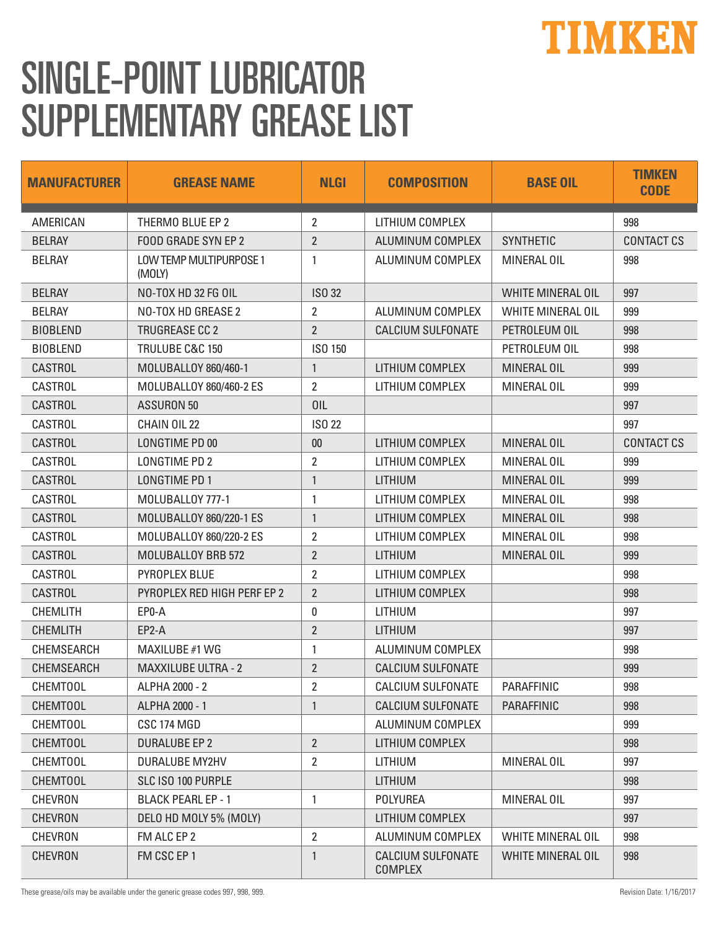## TIMKEN

## SINGLE-POINT LUBRICATOR SUPPLEMENTARY GREASE LIST

| <b>MANUFACTURER</b> | <b>GREASE NAME</b>                | <b>NLGI</b>    | <b>COMPOSITION</b>                         | <b>BASE OIL</b>          | <b>TIMKEN</b><br><b>CODE</b> |
|---------------------|-----------------------------------|----------------|--------------------------------------------|--------------------------|------------------------------|
| AMERICAN            | THERMO BLUE EP 2                  | 2              | LITHIUM COMPLEX                            |                          | 998                          |
| <b>BELRAY</b>       | FOOD GRADE SYN EP 2               | $\overline{2}$ | ALUMINUM COMPLEX                           | <b>SYNTHETIC</b>         | <b>CONTACT CS</b>            |
| <b>BELRAY</b>       | LOW TEMP MULTIPURPOSE 1<br>(MOLY) | 1              | ALUMINUM COMPLEX                           | MINERAL OIL              | 998                          |
| <b>BELRAY</b>       | NO-TOX HD 32 FG OIL               | <b>ISO 32</b>  |                                            | <b>WHITE MINERAL OIL</b> | 997                          |
| <b>BELRAY</b>       | NO-TOX HD GREASE 2                | 2              | ALUMINUM COMPLEX                           | <b>WHITE MINERAL OIL</b> | 999                          |
| <b>BIOBLEND</b>     | <b>TRUGREASE CC 2</b>             | $\overline{2}$ | <b>CALCIUM SULFONATE</b>                   | PETROLEUM OIL            | 998                          |
| <b>BIOBLEND</b>     | TRULUBE C&C 150                   | ISO 150        |                                            | PETROLEUM OIL            | 998                          |
| <b>CASTROL</b>      | MOLUBALLOY 860/460-1              | $\mathbf{1}$   | LITHIUM COMPLEX                            | MINERAL OIL              | 999                          |
| <b>CASTROL</b>      | MOLUBALLOY 860/460-2 ES           | $\overline{2}$ | LITHIUM COMPLEX                            | MINERAL OIL              | 999                          |
| <b>CASTROL</b>      | <b>ASSURON 50</b>                 | 0IL            |                                            |                          | 997                          |
| <b>CASTROL</b>      | CHAIN OIL 22                      | <b>ISO 22</b>  |                                            |                          | 997                          |
| <b>CASTROL</b>      | LONGTIME PD 00                    | 00             | LITHIUM COMPLEX                            | <b>MINERAL OIL</b>       | <b>CONTACT CS</b>            |
| CASTROL             | LONGTIME PD 2                     | $\overline{2}$ | LITHIUM COMPLEX                            | MINERAL OIL              | 999                          |
| <b>CASTROL</b>      | LONGTIME PD 1                     | $\mathbf{1}$   | <b>LITHIUM</b>                             | MINERAL OIL              | 999                          |
| <b>CASTROL</b>      | MOLUBALLOY 777-1                  | 1              | LITHIUM COMPLEX                            | MINERAL OIL              | 998                          |
| <b>CASTROL</b>      | MOLUBALLOY 860/220-1 ES           | $\mathbf{1}$   | LITHIUM COMPLEX                            | MINERAL OIL              | 998                          |
| <b>CASTROL</b>      | MOLUBALLOY 860/220-2 ES           | $\overline{2}$ | LITHIUM COMPLEX                            | MINERAL OIL              | 998                          |
| <b>CASTROL</b>      | MOLUBALLOY BRB 572                | $\overline{2}$ | <b>LITHIUM</b>                             | MINERAL OIL              | 999                          |
| CASTROL             | PYROPLEX BLUE                     | $\overline{2}$ | LITHIUM COMPLEX                            |                          | 998                          |
| <b>CASTROL</b>      | PYROPLEX RED HIGH PERF EP 2       | $\overline{2}$ | LITHIUM COMPLEX                            |                          | 998                          |
| <b>CHEMLITH</b>     | EP0-A                             | 0              | LITHIUM                                    |                          | 997                          |
| <b>CHEMLITH</b>     | EP2-A                             | $\overline{2}$ | <b>LITHIUM</b>                             |                          | 997                          |
| <b>CHEMSEARCH</b>   | MAXILUBE #1 WG                    | $\mathbf{1}$   | ALUMINUM COMPLEX                           |                          | 998                          |
| <b>CHEMSEARCH</b>   | <b>MAXXILUBE ULTRA - 2</b>        | $\overline{2}$ | <b>CALCIUM SULFONATE</b>                   |                          | 999                          |
| <b>CHEMTOOL</b>     | ALPHA 2000 - 2                    | 2              | CALCIUM SULFONATE                          | PARAFFINIC               | 998                          |
| <b>CHEMTOOL</b>     | ALPHA 2000 - 1                    | 1              | <b>CALCIUM SULFONATE</b>                   | <b>PARAFFINIC</b>        | 998                          |
| <b>CHEMTOOL</b>     | CSC 174 MGD                       |                | ALUMINUM COMPLEX                           |                          | 999                          |
| <b>CHEMTOOL</b>     | <b>DURALUBE EP 2</b>              | $\overline{2}$ | LITHIUM COMPLEX                            |                          | 998                          |
| <b>CHEMTOOL</b>     | DURALUBE MY2HV                    | 2              | LITHIUM                                    | MINERAL OIL              | 997                          |
| <b>CHEMTOOL</b>     | SLC ISO 100 PURPLE                |                | LITHIUM                                    |                          | 998                          |
| <b>CHEVRON</b>      | <b>BLACK PEARL EP - 1</b>         | $\mathbf{1}$   | <b>POLYUREA</b>                            | MINERAL OIL              | 997                          |
| <b>CHEVRON</b>      | DELO HD MOLY 5% (MOLY)            |                | LITHIUM COMPLEX                            |                          | 997                          |
| <b>CHEVRON</b>      | FM ALC EP 2                       | $\overline{2}$ | ALUMINUM COMPLEX                           | WHITE MINERAL OIL        | 998                          |
| <b>CHEVRON</b>      | FM CSC EP 1                       | $\mathbf{1}$   | <b>CALCIUM SULFONATE</b><br><b>COMPLEX</b> | <b>WHITE MINERAL OIL</b> | 998                          |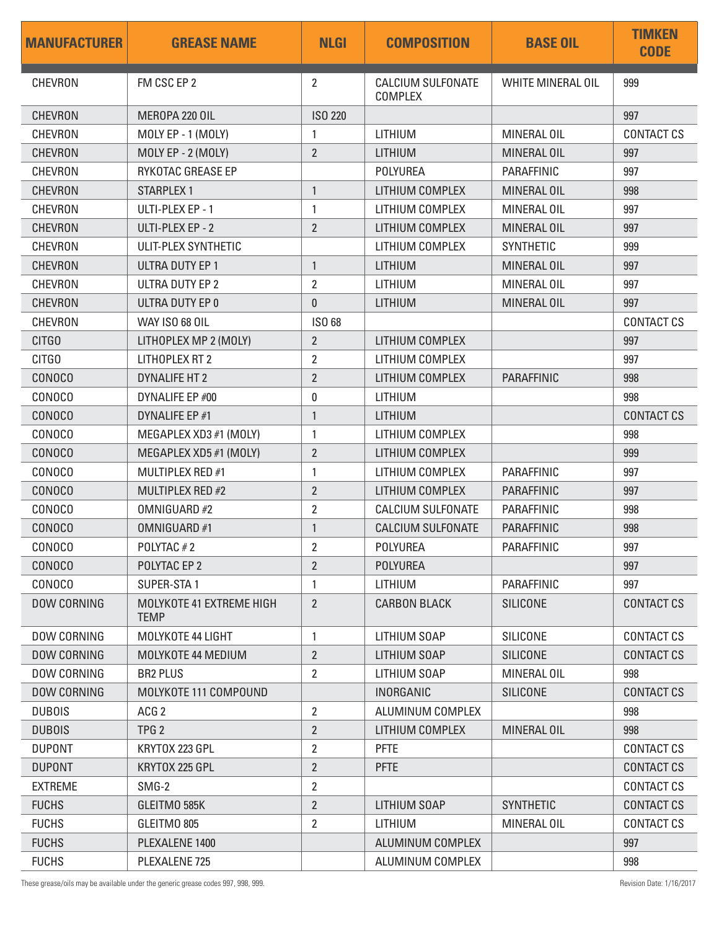| <b>MANUFACTURER</b> | <b>GREASE NAME</b>                      | <b>NLGI</b>    | <b>COMPOSITION</b>                         | <b>BASE OIL</b>   | <b>TIMKEN</b><br><b>CODE</b> |
|---------------------|-----------------------------------------|----------------|--------------------------------------------|-------------------|------------------------------|
| <b>CHEVRON</b>      | FM CSC EP 2                             | 2              | <b>CALCIUM SULFONATE</b><br><b>COMPLEX</b> | WHITE MINERAL OIL | 999                          |
| <b>CHEVRON</b>      | MEROPA 220 OIL                          | <b>ISO 220</b> |                                            |                   | 997                          |
| CHEVRON             | MOLY EP - 1 (MOLY)                      | 1              | LITHIUM                                    | MINERAL OIL       | <b>CONTACT CS</b>            |
| <b>CHEVRON</b>      | MOLY EP - 2 (MOLY)                      | $\overline{2}$ | <b>LITHIUM</b>                             | MINERAL OIL       | 997                          |
| <b>CHEVRON</b>      | RYKOTAC GREASE EP                       |                | <b>POLYUREA</b>                            | PARAFFINIC        | 997                          |
| <b>CHEVRON</b>      | <b>STARPLEX 1</b>                       | $\mathbf{1}$   | LITHIUM COMPLEX                            | MINERAL OIL       | 998                          |
| <b>CHEVRON</b>      | ULTI-PLEX EP - 1                        | 1              | LITHIUM COMPLEX                            | MINERAL OIL       | 997                          |
| <b>CHEVRON</b>      | ULTI-PLEX EP - 2                        | $\overline{2}$ | LITHIUM COMPLEX                            | MINERAL OIL       | 997                          |
| CHEVRON             | ULIT-PLEX SYNTHETIC                     |                | LITHIUM COMPLEX                            | <b>SYNTHETIC</b>  | 999                          |
| <b>CHEVRON</b>      | <b>ULTRA DUTY EP 1</b>                  | $\mathbf{1}$   | LITHIUM                                    | MINERAL OIL       | 997                          |
| <b>CHEVRON</b>      | ULTRA DUTY EP 2                         | $\overline{2}$ | LITHIUM                                    | MINERAL OIL       | 997                          |
| <b>CHEVRON</b>      | ULTRA DUTY EP 0                         | 0              | <b>LITHIUM</b>                             | MINERAL OIL       | 997                          |
| <b>CHEVRON</b>      | <b>WAY ISO 68 OIL</b>                   | ISO 68         |                                            |                   | <b>CONTACT CS</b>            |
| CITGO               | LITHOPLEX MP 2 (MOLY)                   | $\overline{2}$ | LITHIUM COMPLEX                            |                   | 997                          |
| CITGO               | <b>LITHOPLEX RT 2</b>                   | $\overline{2}$ | LITHIUM COMPLEX                            |                   | 997                          |
| <b>CONOCO</b>       | <b>DYNALIFE HT 2</b>                    | $\overline{2}$ | LITHIUM COMPLEX                            | <b>PARAFFINIC</b> | 998                          |
| CONOCO              | DYNALIFE EP #00                         | 0              | LITHIUM                                    |                   | 998                          |
| <b>CONOCO</b>       | DYNALIFE EP #1                          | $\mathbf{1}$   | <b>LITHIUM</b>                             |                   | <b>CONTACT CS</b>            |
| <b>CONOCO</b>       | MEGAPLEX XD3 #1 (MOLY)                  | 1              | LITHIUM COMPLEX                            |                   | 998                          |
| <b>CONOCO</b>       | MEGAPLEX XD5 #1 (MOLY)                  | $\overline{2}$ | LITHIUM COMPLEX                            |                   | 999                          |
| <b>CONOCO</b>       | MULTIPLEX RED #1                        | 1              | LITHIUM COMPLEX                            | <b>PARAFFINIC</b> | 997                          |
| <b>CONOCO</b>       | MULTIPLEX RED #2                        | $\overline{2}$ | LITHIUM COMPLEX                            | <b>PARAFFINIC</b> | 997                          |
| CONOCO              | OMNIGUARD #2                            | $\overline{2}$ | <b>CALCIUM SULFONATE</b>                   | PARAFFINIC        | 998                          |
| <b>CONOCO</b>       | OMNIGUARD #1                            | $\mathbf{1}$   | <b>CALCIUM SULFONATE</b>                   | <b>PARAFFINIC</b> | 998                          |
| <b>CONOCO</b>       | POLYTAC#2                               | 2              | <b>POLYUREA</b>                            | PARAFFINIC        | 997                          |
| <b>CONOCO</b>       | POLYTAC EP 2                            | $\overline{2}$ | <b>POLYUREA</b>                            |                   | 997                          |
| <b>CONOCO</b>       | SUPER-STA1                              | 1              | LITHIUM                                    | <b>PARAFFINIC</b> | 997                          |
| <b>DOW CORNING</b>  | MOLYKOTE 41 EXTREME HIGH<br><b>TEMP</b> | $\overline{2}$ | <b>CARBON BLACK</b>                        | <b>SILICONE</b>   | CONTACT CS                   |
| <b>DOW CORNING</b>  | MOLYKOTE 44 LIGHT                       | $\mathbf{1}$   | LITHIUM SOAP                               | SILICONE          | <b>CONTACT CS</b>            |
| <b>DOW CORNING</b>  | MOLYKOTE 44 MEDIUM                      | $\overline{2}$ | LITHIUM SOAP                               | <b>SILICONE</b>   | <b>CONTACT CS</b>            |
| DOW CORNING         | <b>BR2 PLUS</b>                         | 2              | LITHIUM SOAP                               | MINERAL OIL       | 998                          |
| <b>DOW CORNING</b>  | MOLYKOTE 111 COMPOUND                   |                | <b>INORGANIC</b>                           | <b>SILICONE</b>   | <b>CONTACT CS</b>            |
| <b>DUBOIS</b>       | ACG <sub>2</sub>                        | $\overline{2}$ | ALUMINUM COMPLEX                           |                   | 998                          |
| <b>DUBOIS</b>       | TPG <sub>2</sub>                        | $\overline{2}$ | LITHIUM COMPLEX                            | MINERAL OIL       | 998                          |
| <b>DUPONT</b>       | KRYTOX 223 GPL                          | $\overline{2}$ | <b>PFTE</b>                                |                   | <b>CONTACT CS</b>            |
| <b>DUPONT</b>       | KRYTOX 225 GPL                          | 2              | <b>PFTE</b>                                |                   | <b>CONTACT CS</b>            |
| <b>EXTREME</b>      | SMG-2                                   | $\overline{2}$ |                                            |                   | CONTACT CS                   |
| <b>FUCHS</b>        | GLEITMO 585K                            | $\overline{2}$ | LITHIUM SOAP                               | <b>SYNTHETIC</b>  | CONTACT CS                   |
| <b>FUCHS</b>        | GLEITMO 805                             | $\overline{2}$ | LITHIUM                                    | MINERAL OIL       | <b>CONTACT CS</b>            |
| <b>FUCHS</b>        | PLEXALENE 1400                          |                | ALUMINUM COMPLEX                           |                   | 997                          |
| <b>FUCHS</b>        | PLEXALENE 725                           |                | ALUMINUM COMPLEX                           |                   | 998                          |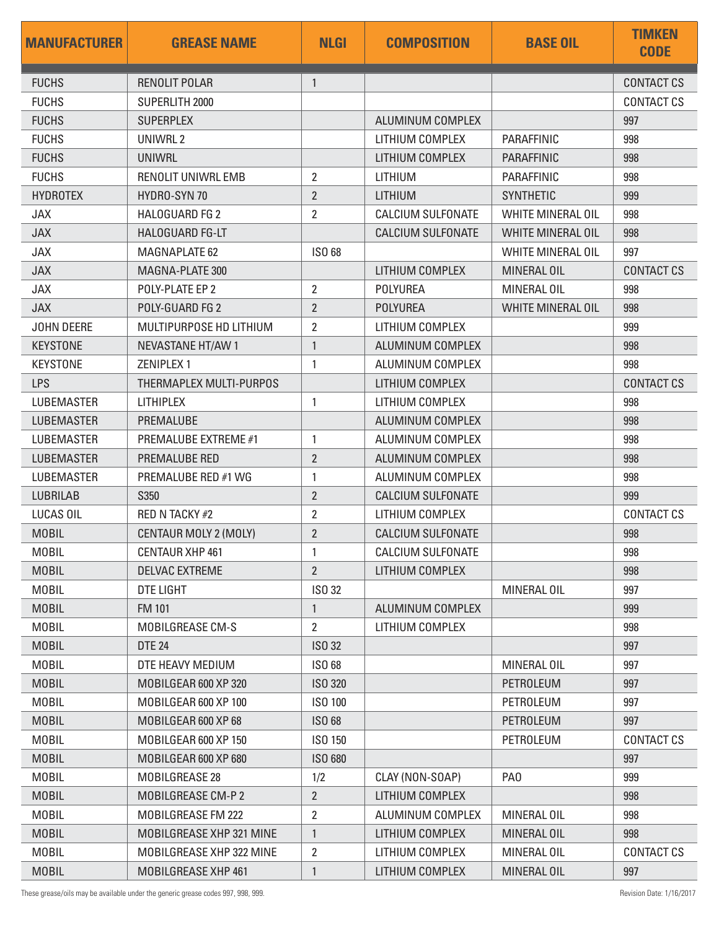| <b>MANUFACTURER</b> | <b>GREASE NAME</b>          | <b>NLGI</b>    | <b>COMPOSITION</b>       | <b>BASE OIL</b>          | <b>TIMKEN</b><br><b>CODE</b> |
|---------------------|-----------------------------|----------------|--------------------------|--------------------------|------------------------------|
| <b>FUCHS</b>        | <b>RENOLIT POLAR</b>        | $\mathbf{1}$   |                          |                          | <b>CONTACT CS</b>            |
| <b>FUCHS</b>        | SUPERLITH 2000              |                |                          |                          | <b>CONTACT CS</b>            |
| <b>FUCHS</b>        | <b>SUPERPLEX</b>            |                | ALUMINUM COMPLEX         |                          | 997                          |
| <b>FUCHS</b>        | UNIWRL 2                    |                | LITHIUM COMPLEX          | PARAFFINIC               | 998                          |
| <b>FUCHS</b>        | UNIWRL                      |                | LITHIUM COMPLEX          | <b>PARAFFINIC</b>        | 998                          |
| <b>FUCHS</b>        | <b>RENOLIT UNIWRL EMB</b>   | 2              | LITHIUM                  | PARAFFINIC               | 998                          |
| <b>HYDROTEX</b>     | HYDRO-SYN 70                | 2              | LITHIUM                  | <b>SYNTHETIC</b>         | 999                          |
| <b>JAX</b>          | <b>HALOGUARD FG 2</b>       | $\overline{2}$ | <b>CALCIUM SULFONATE</b> | <b>WHITE MINERAL OIL</b> | 998                          |
| <b>JAX</b>          | HALOGUARD FG-LT             |                | <b>CALCIUM SULFONATE</b> | <b>WHITE MINERAL OIL</b> | 998                          |
| <b>JAX</b>          | <b>MAGNAPLATE 62</b>        | <b>ISO 68</b>  |                          | <b>WHITE MINERAL OIL</b> | 997                          |
| <b>JAX</b>          | MAGNA-PLATE 300             |                | LITHIUM COMPLEX          | MINERAL OIL              | <b>CONTACT CS</b>            |
| <b>JAX</b>          | POLY-PLATE EP 2             | 2              | <b>POLYUREA</b>          | MINERAL OIL              | 998                          |
| <b>JAX</b>          | POLY-GUARD FG 2             | $\overline{2}$ | <b>POLYUREA</b>          | <b>WHITE MINERAL OIL</b> | 998                          |
| JOHN DEERE          | MULTIPURPOSE HD LITHIUM     | $\overline{2}$ | LITHIUM COMPLEX          |                          | 999                          |
| <b>KEYSTONE</b>     | <b>NEVASTANE HT/AW 1</b>    | $\mathbf{1}$   | ALUMINUM COMPLEX         |                          | 998                          |
| <b>KEYSTONE</b>     | <b>ZENIPLEX1</b>            | 1              | ALUMINUM COMPLEX         |                          | 998                          |
| <b>LPS</b>          | THERMAPLEX MULTI-PURPOS     |                | LITHIUM COMPLEX          |                          | <b>CONTACT CS</b>            |
| <b>LUBEMASTER</b>   | <b>LITHIPLEX</b>            | $\mathbf{1}$   | LITHIUM COMPLEX          |                          | 998                          |
| <b>LUBEMASTER</b>   | PREMALUBE                   |                | ALUMINUM COMPLEX         |                          | 998                          |
| <b>LUBEMASTER</b>   | <b>PREMALUBE EXTREME #1</b> | 1              | ALUMINUM COMPLEX         |                          | 998                          |
| <b>LUBEMASTER</b>   | PREMALUBE RED               | $\overline{2}$ | ALUMINUM COMPLEX         |                          | 998                          |
| <b>LUBEMASTER</b>   | PREMALUBE RED #1 WG         | 1              | ALUMINUM COMPLEX         |                          | 998                          |
| <b>LUBRILAB</b>     | S350                        | $\overline{2}$ | <b>CALCIUM SULFONATE</b> |                          | 999                          |
| LUCAS OIL           | <b>RED N TACKY #2</b>       | $\overline{2}$ | LITHIUM COMPLEX          |                          | <b>CONTACT CS</b>            |
| <b>MOBIL</b>        | CENTAUR MOLY 2 (MOLY)       | $\overline{2}$ | <b>CALCIUM SULFONATE</b> |                          | 998                          |
| <b>MOBIL</b>        | CENTAUR XHP 461             | $\mathbf{1}$   | CALCIUM SULFONATE        |                          | 998                          |
| <b>MOBIL</b>        | <b>DELVAC EXTREME</b>       | $\overline{2}$ | LITHIUM COMPLEX          |                          | 998                          |
| <b>MOBIL</b>        | DTE LIGHT                   | ISO 32         |                          | MINERAL OIL              | 997                          |
| <b>MOBIL</b>        | <b>FM 101</b>               | 1              | ALUMINUM COMPLEX         |                          | 999                          |
| <b>MOBIL</b>        | MOBILGREASE CM-S            | $\overline{2}$ | LITHIUM COMPLEX          |                          | 998                          |
| <b>MOBIL</b>        | <b>DTE 24</b>               | <b>ISO 32</b>  |                          |                          | 997                          |
| <b>MOBIL</b>        | DTE HEAVY MEDIUM            | ISO 68         |                          | MINERAL OIL              | 997                          |
| <b>MOBIL</b>        | MOBILGEAR 600 XP 320        | ISO 320        |                          | PETROLEUM                | 997                          |
| <b>MOBIL</b>        | MOBILGEAR 600 XP 100        | ISO 100        |                          | PETROLEUM                | 997                          |
| <b>MOBIL</b>        | MOBILGEAR 600 XP 68         | ISO 68         |                          | PETROLEUM                | 997                          |
| <b>MOBIL</b>        | MOBILGEAR 600 XP 150        | ISO 150        |                          | PETROLEUM                | <b>CONTACT CS</b>            |
| <b>MOBIL</b>        | MOBILGEAR 600 XP 680        | ISO 680        |                          |                          | 997                          |
| <b>MOBIL</b>        | MOBILGREASE 28              | 1/2            | CLAY (NON-SOAP)          | PA <sub>0</sub>          | 999                          |
| <b>MOBIL</b>        | <b>MOBILGREASE CM-P2</b>    | $\overline{2}$ | LITHIUM COMPLEX          |                          | 998                          |
| <b>MOBIL</b>        | MOBILGREASE FM 222          | 2              | ALUMINUM COMPLEX         | MINERAL OIL              | 998                          |
| <b>MOBIL</b>        | MOBILGREASE XHP 321 MINE    | $\mathbf{1}$   | LITHIUM COMPLEX          | MINERAL OIL              | 998                          |
| <b>MOBIL</b>        | MOBILGREASE XHP 322 MINE    | $\overline{2}$ | LITHIUM COMPLEX          | MINERAL OIL              | <b>CONTACT CS</b>            |
| <b>MOBIL</b>        | MOBILGREASE XHP 461         | 1              | LITHIUM COMPLEX          | MINERAL OIL              | 997                          |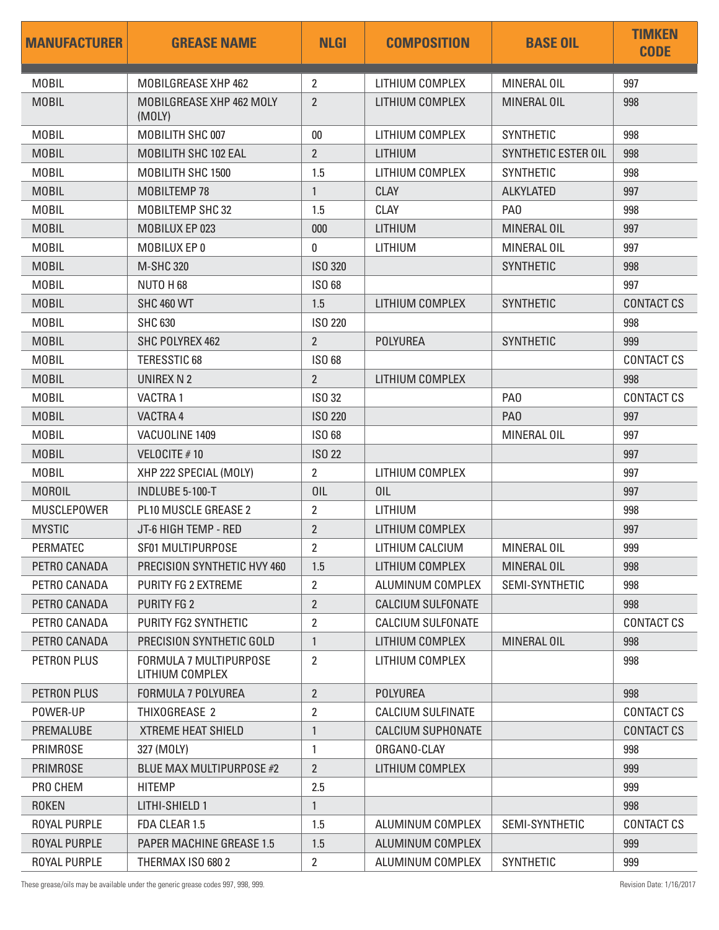| <b>MANUFACTURER</b> | <b>GREASE NAME</b>                               | <b>NLGI</b>    | <b>COMPOSITION</b>       | <b>BASE OIL</b>     | <b>TIMKEN</b><br><b>CODE</b> |
|---------------------|--------------------------------------------------|----------------|--------------------------|---------------------|------------------------------|
| <b>MOBIL</b>        | MOBILGREASE XHP 462                              | $\overline{2}$ | LITHIUM COMPLEX          | MINERAL OIL         | 997                          |
| <b>MOBIL</b>        | MOBILGREASE XHP 462 MOLY<br>(MOLY)               | $\overline{2}$ | LITHIUM COMPLEX          | MINERAL OIL         | 998                          |
| <b>MOBIL</b>        | MOBILITH SHC 007                                 | $00\,$         | LITHIUM COMPLEX          | <b>SYNTHETIC</b>    | 998                          |
| <b>MOBIL</b>        | <b>MOBILITH SHC 102 EAL</b>                      | $\overline{2}$ | <b>LITHIUM</b>           | SYNTHETIC ESTER OIL | 998                          |
| <b>MOBIL</b>        | MOBILITH SHC 1500                                | 1.5            | LITHIUM COMPLEX          | <b>SYNTHETIC</b>    | 998                          |
| <b>MOBIL</b>        | MOBILTEMP 78                                     | $\mathbf{1}$   | <b>CLAY</b>              | <b>ALKYLATED</b>    | 997                          |
| <b>MOBIL</b>        | <b>MOBILTEMP SHC 32</b>                          | 1.5            | <b>CLAY</b>              | PA <sub>0</sub>     | 998                          |
| <b>MOBIL</b>        | MOBILUX EP 023                                   | 000            | <b>LITHIUM</b>           | MINERAL OIL         | 997                          |
| <b>MOBIL</b>        | MOBILUX EP 0                                     | 0              | LITHIUM                  | MINERAL OIL         | 997                          |
| <b>MOBIL</b>        | <b>M-SHC 320</b>                                 | <b>ISO 320</b> |                          | <b>SYNTHETIC</b>    | 998                          |
| <b>MOBIL</b>        | NUTO H68                                         | <b>ISO 68</b>  |                          |                     | 997                          |
| <b>MOBIL</b>        | <b>SHC 460 WT</b>                                | 1.5            | LITHIUM COMPLEX          | <b>SYNTHETIC</b>    | <b>CONTACT CS</b>            |
| <b>MOBIL</b>        | <b>SHC 630</b>                                   | <b>ISO 220</b> |                          |                     | 998                          |
| <b>MOBIL</b>        | SHC POLYREX 462                                  | $\overline{2}$ | <b>POLYUREA</b>          | <b>SYNTHETIC</b>    | 999                          |
| <b>MOBIL</b>        | <b>TERESSTIC 68</b>                              | ISO 68         |                          |                     | <b>CONTACT CS</b>            |
| <b>MOBIL</b>        | UNIREX N 2                                       | $\overline{2}$ | LITHIUM COMPLEX          |                     | 998                          |
| <b>MOBIL</b>        | <b>VACTRA1</b>                                   | ISO 32         |                          | PA <sub>0</sub>     | <b>CONTACT CS</b>            |
| <b>MOBIL</b>        | VACTRA 4                                         | <b>ISO 220</b> |                          | PA <sub>0</sub>     | 997                          |
| <b>MOBIL</b>        | VACUOLINE 1409                                   | ISO 68         |                          | MINERAL OIL         | 997                          |
| <b>MOBIL</b>        | VELOCITE #10                                     | <b>ISO 22</b>  |                          |                     | 997                          |
| <b>MOBIL</b>        | XHP 222 SPECIAL (MOLY)                           | $\overline{2}$ | LITHIUM COMPLEX          |                     | 997                          |
| <b>MOROIL</b>       | INDLUBE 5-100-T                                  | 0IL            | <b>OIL</b>               |                     | 997                          |
| <b>MUSCLEPOWER</b>  | PL10 MUSCLE GREASE 2                             | $\overline{2}$ | LITHIUM                  |                     | 998                          |
| <b>MYSTIC</b>       | JT-6 HIGH TEMP - RED                             | $\overline{2}$ | LITHIUM COMPLEX          |                     | 997                          |
| PERMATEC            | SF01 MULTIPURPOSE                                | 2              | LITHIUM CALCIUM          | MINERAL OIL         | 999                          |
| PETRO CANADA        | PRECISION SYNTHETIC HVY 460                      | 1.5            | LITHIUM COMPLEX          | MINERAL OIL         | 998                          |
| PETRO CANADA        | PURITY FG 2 EXTREME                              | $\overline{2}$ | ALUMINUM COMPLEX         | SEMI-SYNTHETIC      | 998                          |
| PETRO CANADA        | PURITY FG 2                                      | $\overline{2}$ | <b>CALCIUM SULFONATE</b> |                     | 998                          |
| PETRO CANADA        | PURITY FG2 SYNTHETIC                             | $\overline{2}$ | <b>CALCIUM SULFONATE</b> |                     | <b>CONTACT CS</b>            |
| PETRO CANADA        | PRECISION SYNTHETIC GOLD                         | $\mathbf{1}$   | LITHIUM COMPLEX          | MINERAL OIL         | 998                          |
| PETRON PLUS         | <b>FORMULA 7 MULTIPURPOSE</b><br>LITHIUM COMPLEX | 2              | LITHIUM COMPLEX          |                     | 998                          |
| <b>PETRON PLUS</b>  | <b>FORMULA 7 POLYUREA</b>                        | $\overline{2}$ | <b>POLYUREA</b>          |                     | 998                          |
| POWER-UP            | THIXOGREASE 2                                    | $\overline{2}$ | <b>CALCIUM SULFINATE</b> |                     | <b>CONTACT CS</b>            |
| PREMALUBE           | <b>XTREME HEAT SHIELD</b>                        | $\mathbf{1}$   | <b>CALCIUM SUPHONATE</b> |                     | <b>CONTACT CS</b>            |
| <b>PRIMROSE</b>     | 327 (MOLY)                                       | 1              | ORGANO-CLAY              |                     | 998                          |
| <b>PRIMROSE</b>     | BLUE MAX MULTIPURPOSE #2                         | $\overline{2}$ | LITHIUM COMPLEX          |                     | 999                          |
| PRO CHEM            | <b>HITEMP</b>                                    | 2.5            |                          |                     | 999                          |
| <b>ROKEN</b>        | LITHI-SHIELD 1                                   | $\mathbf{1}$   |                          |                     | 998                          |
| <b>ROYAL PURPLE</b> | FDA CLEAR 1.5                                    | 1.5            | ALUMINUM COMPLEX         | SEMI-SYNTHETIC      | <b>CONTACT CS</b>            |
| <b>ROYAL PURPLE</b> | <b>PAPER MACHINE GREASE 1.5</b>                  | 1.5            | ALUMINUM COMPLEX         |                     | 999                          |
| ROYAL PURPLE        | THERMAX ISO 680 2                                | $\overline{2}$ | ALUMINUM COMPLEX         | <b>SYNTHETIC</b>    | 999                          |

These grease/oils may be available under the generic grease codes 997, 998, 999.